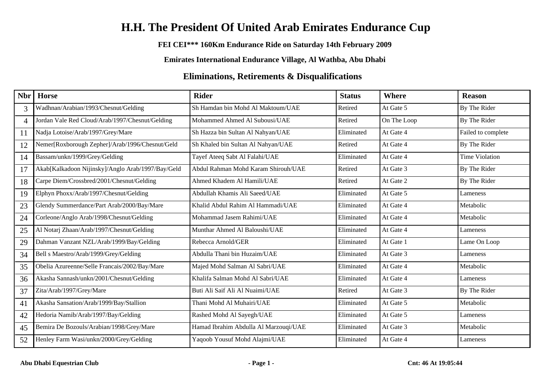# **H.H. The President Of United Arab Emirates Endurance Cup**

### **FEI CEI\*\*\* 160Km Endurance Ride on Saturday 14th February 2009**

**Emirates International Endurance Village, Al Wathba, Abu Dhabi**

## **Eliminations, Retirements & Disqualifications**

| Nbr | <b>Horse</b>                                      | <b>Rider</b>                          | <b>Status</b> | <b>Where</b> | <b>Reason</b>         |
|-----|---------------------------------------------------|---------------------------------------|---------------|--------------|-----------------------|
| 3   | Wadhnan/Arabian/1993/Chesnut/Gelding              | Sh Hamdan bin Mohd Al Maktoum/UAE     | Retired       | At Gate 5    | By The Rider          |
| 4   | Jordan Vale Red Cloud/Arab/1997/Chesnut/Gelding   | Mohammed Ahmed Al Subousi/UAE         | Retired       | On The Loop  | By The Rider          |
| 11  | Nadja Lotoise/Arab/1997/Grey/Mare                 | Sh Hazza bin Sultan Al Nahyan/UAE     | Eliminated    | At Gate 4    | Failed to complete    |
| 12  | Nemer[Roxborough Zepher]/Arab/1996/Chesnut/Geld   | Sh Khaled bin Sultan Al Nahyan/UAE    | Retired       | At Gate 4    | By The Rider          |
| 14  | Bassam/unkn/1999/Grey/Gelding                     | Tayef Ateeq Sabt Al Falahi/UAE        | Eliminated    | At Gate 4    | <b>Time Violation</b> |
| 17  | Akab[Kalkadoon Nijinsky]/Anglo Arab/1997/Bay/Geld | Abdul Rahman Mohd Karam Shirouh/UAE   | Retired       | At Gate 3    | By The Rider          |
| 18  | Carpe Diem/Crossbred/2001/Chesnut/Gelding         | Ahmed Khadem Al Hamili/UAE            | Retired       | At Gate 2    | By The Rider          |
| 19  | Elphyn Phoxx/Arab/1997/Chesnut/Gelding            | Abdullah Khamis Ali Saeed/UAE         | Eliminated    | At Gate 5    | Lameness              |
| 23  | Glendy Summerdance/Part Arab/2000/Bay/Mare        | Khalid Abdul Rahim Al Hammadi/UAE     | Eliminated    | At Gate 4    | Metabolic             |
| 24  | Corleone/Anglo Arab/1998/Chesnut/Gelding          | Mohammad Jasem Rahimi/UAE             | Eliminated    | At Gate 4    | Metabolic             |
| 25  | Al Notarj Zhaan/Arab/1997/Chesnut/Gelding         | Munthar Ahmed Al Baloushi/UAE         | Eliminated    | At Gate 4    | Lameness              |
| 29  | Dahman Vanzant NZL/Arab/1999/Bay/Gelding          | Rebecca Arnold/GER                    | Eliminated    | At Gate 1    | Lame On Loop          |
| 34  | Bell s Maestro/Arab/1999/Grey/Gelding             | Abdulla Thani bin Huzaim/UAE          | Eliminated    | At Gate 3    | Lameness              |
| 35  | Obelia Azureenne/Selle Francais/2002/Bay/Mare     | Majed Mohd Salman Al Sabri/UAE        | Eliminated    | At Gate 4    | Metabolic             |
| 36  | Akasha Sannash/unkn/2001/Chesnut/Gelding          | Khalifa Salman Mohd Al Sabri/UAE      | Eliminated    | At Gate 4    | Lameness              |
| 37  | Zita/Arab/1997/Grey/Mare                          | Buti Ali Saif Ali Al Nuaimi/UAE       | Retired       | At Gate 3    | By The Rider          |
| 41  | Akasha Sansation/Arab/1999/Bay/Stallion           | Thani Mohd Al Muhairi/UAE             | Eliminated    | At Gate 5    | Metabolic             |
| 42  | Hedoria Namib/Arab/1997/Bay/Gelding               | Rashed Mohd Al Sayegh/UAE             | Eliminated    | At Gate 5    | Lameness              |
| 45  | Bemira De Bozouls/Arabian/1998/Grey/Mare          | Hamad Ibrahim Abdulla Al Marzouqi/UAE | Eliminated    | At Gate 3    | Metabolic             |
| 52  | Henley Farm Wasi/unkn/2000/Grey/Gelding           | Yaqoob Yousuf Mohd Alajmi/UAE         | Eliminated    | At Gate 4    | Lameness              |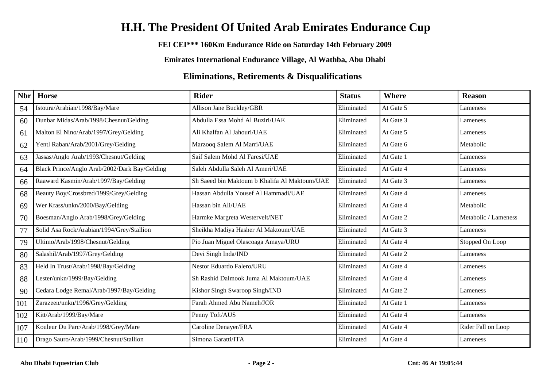# **H.H. The President Of United Arab Emirates Endurance Cup**

### **FEI CEI\*\*\* 160Km Endurance Ride on Saturday 14th February 2009**

**Emirates International Endurance Village, Al Wathba, Abu Dhabi**

## **Eliminations, Retirements & Disqualifications**

| Nbr | <b>Horse</b>                                  | <b>Rider</b>                                  | <b>Status</b> | <b>Where</b> | <b>Reason</b>        |
|-----|-----------------------------------------------|-----------------------------------------------|---------------|--------------|----------------------|
| 54  | Istoura/Arabian/1998/Bay/Mare                 | Allison Jane Buckley/GBR                      | Eliminated    | At Gate 5    | Lameness             |
| 60  | Dunbar Midas/Arab/1998/Chesnut/Gelding        | Abdulla Essa Mohd Al Buziri/UAE               | Eliminated    | At Gate 3    | Lameness             |
| 61  | Malton El Nino/Arab/1997/Grey/Gelding         | Ali Khalfan Al Jahouri/UAE                    | Eliminated    | At Gate 5    | Lameness             |
| 62  | Yentl Raban/Arab/2001/Grey/Gelding            | Marzooq Salem Al Marri/UAE                    | Eliminated    | At Gate 6    | Metabolic            |
| 63  | Jassas/Anglo Arab/1993/Chesnut/Gelding        | Saif Salem Mohd Al Faresi/UAE                 | Eliminated    | At Gate 1    | Lameness             |
| 64  | Black Prince/Anglo Arab/2002/Dark Bay/Gelding | Saleh Abdulla Saleh Al Ameri/UAE              | Eliminated    | At Gate 4    | Lameness             |
| 66  | Raaward Kasmin/Arab/1997/Bay/Gelding          | Sh Saeed bin Maktoum b Khalifa Al Maktoum/UAE | Eliminated    | At Gate 3    | Lameness             |
| 68  | Beauty Boy/Crossbred/1999/Grey/Gelding        | Hassan Abdulla Yousef Al Hammadi/UAE          | Eliminated    | At Gate 4    | Lameness             |
| 69  | Wer Krass/unkn/2000/Bay/Gelding               | Hassan bin Ali/UAE                            | Eliminated    | At Gate 4    | Metabolic            |
| 70  | Boesman/Anglo Arab/1998/Grey/Gelding          | Harmke Margreta Westervelt/NET                | Eliminated    | At Gate 2    | Metabolic / Lameness |
| 77  | Solid Asa Rock/Arabian/1994/Grey/Stallion     | Sheikha Madiya Hasher Al Maktoum/UAE          | Eliminated    | At Gate 3    | Lameness             |
| 79  | Ultimo/Arab/1998/Chesnut/Gelding              | Pio Juan Miguel Olascoaga Amaya/URU           | Eliminated    | At Gate 4    | Stopped On Loop      |
| 80  | Salashil/Arab/1997/Grey/Gelding               | Devi Singh Inda/IND                           | Eliminated    | At Gate 2    | Lameness             |
| 83  | Held In Trust/Arab/1998/Bay/Gelding           | Nestor Eduardo Falero/URU                     | Eliminated    | At Gate 4    | Lameness             |
| 88  | Lester/unkn/1999/Bay/Gelding                  | Sh Rashid Dalmook Juma Al Maktoum/UAE         | Eliminated    | At Gate 4    | Lameness             |
| 90  | Cedara Lodge Remal/Arab/1997/Bay/Gelding      | Kishor Singh Swaroop Singh/IND                | Eliminated    | At Gate 2    | Lameness             |
| 101 | Zarazeen/unkn/1996/Grey/Gelding               | Farah Ahmed Abu Nameh/JOR                     | Eliminated    | At Gate 1    | Lameness             |
| 102 | Kitt/Arab/1999/Bay/Mare                       | Penny Toft/AUS                                | Eliminated    | At Gate 4    | Lameness             |
| 107 | Kouleur Du Parc/Arab/1998/Grey/Mare           | Caroline Denayer/FRA                          | Eliminated    | At Gate 4    | Rider Fall on Loop   |
| 110 | Drago Sauro/Arab/1999/Chesnut/Stallion        | Simona Garatti/ITA                            | Eliminated    | At Gate 4    | Lameness             |